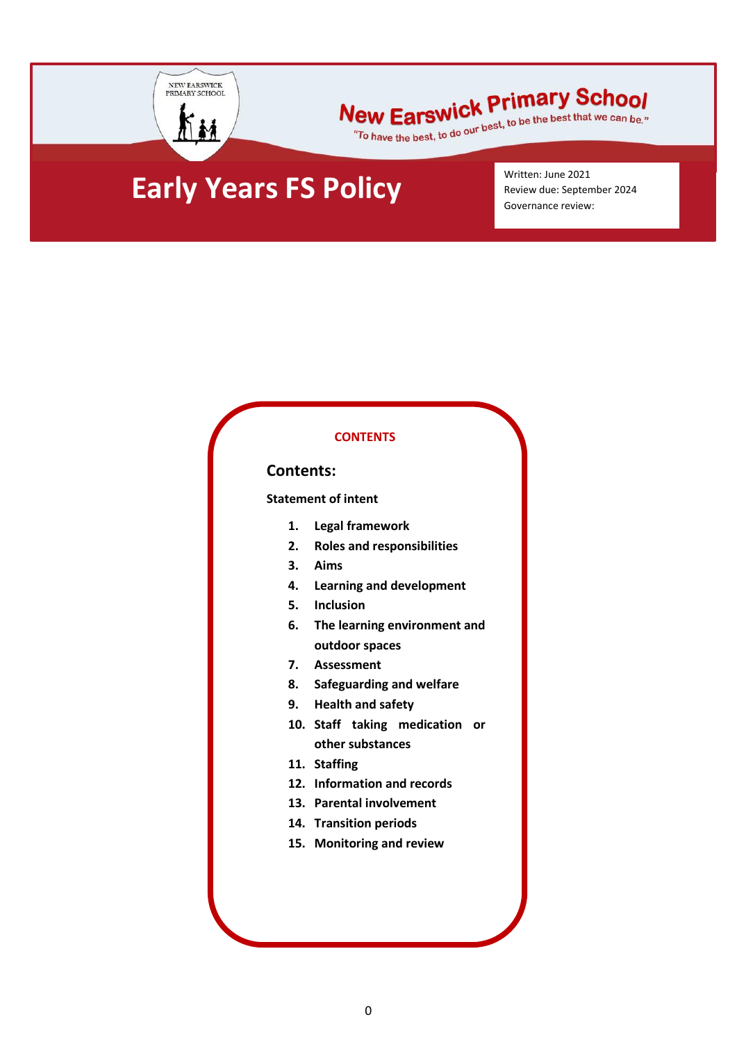

# New Earswick Primary School

lew Earswick Primary Scribol

## **Early Years FS Policy**

Written: June 2021 Review due: September 2024 Governance review:

#### **CONTENTS**

#### **Contents:**

**Statement of intent**

- **1. Legal framework**
- **2. [Roles and responsibilities](#page-2-0)**
- **3. [Aims](#page-2-1)**
- **4. Learning and development**
- **5. Inclusion**
- **6. [The learning environment and](#page-6-0)  [outdoor spaces](#page-6-0)**
- **7. [Assessment](#page-6-1)**
- **8. [Safeguarding and welfare](#page-7-0)**
- **9. [Health and safety](#page-7-1)**
- **10. [Staff taking medication or](#page-8-0)  [other substances](#page-8-0)**
- **11. [Staffing](#page-8-1)**
- **12. [Information and records](#page-9-0)**
- **13. [Parental involvement](#page-10-0)**
- **14. [Transition periods](#page-10-1)**
- **15. [Monitoring and review](#page-10-2)**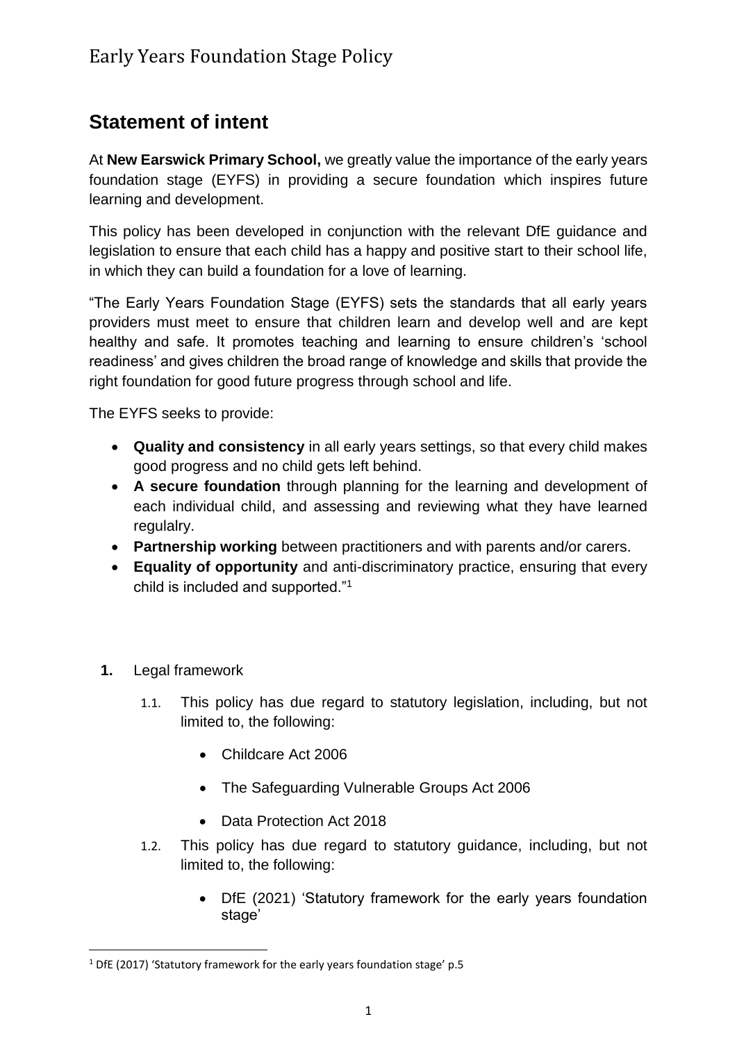#### **Statement of intent**

At **New Earswick Primary School,** we greatly value the importance of the early years foundation stage (EYFS) in providing a secure foundation which inspires future learning and development.

This policy has been developed in conjunction with the relevant DfE guidance and legislation to ensure that each child has a happy and positive start to their school life, in which they can build a foundation for a love of learning.

"The Early Years Foundation Stage (EYFS) sets the standards that all early years providers must meet to ensure that children learn and develop well and are kept healthy and safe. It promotes teaching and learning to ensure children's 'school readiness' and gives children the broad range of knowledge and skills that provide the right foundation for good future progress through school and life.

The EYFS seeks to provide:

- **Quality and consistency** in all early years settings, so that every child makes good progress and no child gets left behind.
- **A secure foundation** through planning for the learning and development of each individual child, and assessing and reviewing what they have learned regulalry.
- **Partnership working** between practitioners and with parents and/or carers.
- **Equality of opportunity** and anti-discriminatory practice, ensuring that every child is included and supported."<sup>1</sup>
- **1.** Legal framework

**.** 

- 1.1. This policy has due regard to statutory legislation, including, but not limited to, the following:
	- Childcare Act 2006
	- The Safeguarding Vulnerable Groups Act 2006
	- Data Protection Act 2018
- 1.2. This policy has due regard to statutory guidance, including, but not limited to, the following:
	- DfE (2021) 'Statutory framework for the early years foundation stage'

<sup>1</sup> DfE (2017) 'Statutory framework for the early years foundation stage' p.5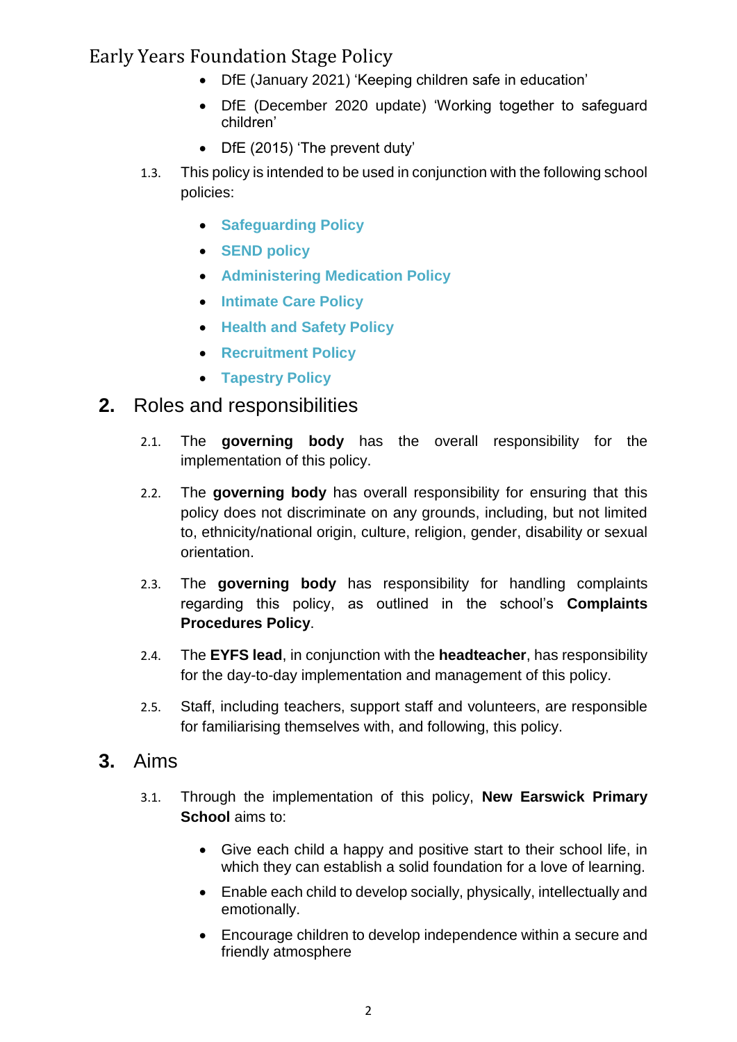- DfE (January 2021) 'Keeping children safe in education'
- DfE (December 2020 update) 'Working together to safeguard children'
- DfE (2015) 'The prevent duty'
- 1.3. This policy is intended to be used in conjunction with the following school policies:
	- **Safeguarding Policy**
	- **SEND policy**
	- **Administering Medication Policy**
	- **Intimate Care Policy**
	- **Health and Safety Policy**
	- **Recruitment Policy**
	- **Tapestry Policy**

#### <span id="page-2-0"></span>**2.** Roles and responsibilities

- 2.1. The **governing body** has the overall responsibility for the implementation of this policy.
- 2.2. The **governing body** has overall responsibility for ensuring that this policy does not discriminate on any grounds, including, but not limited to, ethnicity/national origin, culture, religion, gender, disability or sexual orientation.
- 2.3. The **governing body** has responsibility for handling complaints regarding this policy, as outlined in the school's **Complaints Procedures Policy**.
- 2.4. The **EYFS lead**, in conjunction with the **headteacher**, has responsibility for the day-to-day implementation and management of this policy.
- 2.5. Staff, including teachers, support staff and volunteers, are responsible for familiarising themselves with, and following, this policy.

#### <span id="page-2-1"></span>**3.** Aims

- 3.1. Through the implementation of this policy, **New Earswick Primary School** aims to:
	- Give each child a happy and positive start to their school life, in which they can establish a solid foundation for a love of learning.
	- Enable each child to develop socially, physically, intellectually and emotionally.
	- Encourage children to develop independence within a secure and friendly atmosphere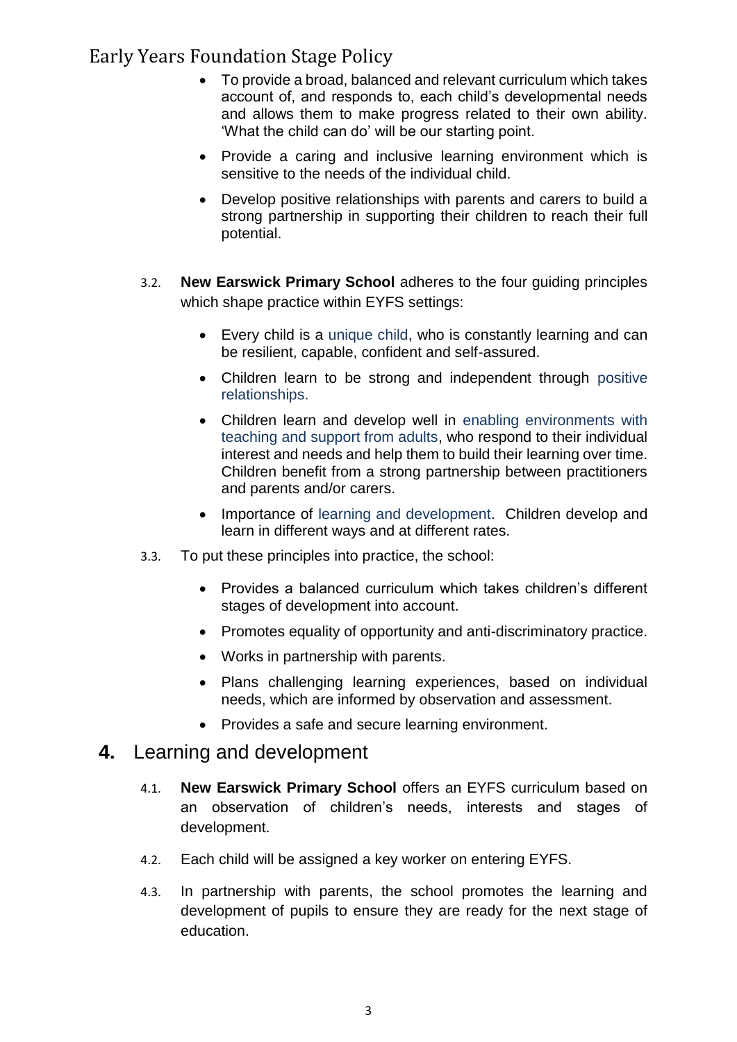- To provide a broad, balanced and relevant curriculum which takes account of, and responds to, each child's developmental needs and allows them to make progress related to their own ability. 'What the child can do' will be our starting point.
- Provide a caring and inclusive learning environment which is sensitive to the needs of the individual child.
- Develop positive relationships with parents and carers to build a strong partnership in supporting their children to reach their full potential.
- 3.2. **New Earswick Primary School** adheres to the four guiding principles which shape practice within EYFS settings:
	- Every child is a unique child, who is constantly learning and can be resilient, capable, confident and self-assured.
	- Children learn to be strong and independent through positive relationships.
	- Children learn and develop well in enabling environments with teaching and support from adults, who respond to their individual interest and needs and help them to build their learning over time. Children benefit from a strong partnership between practitioners and parents and/or carers.
	- Importance of learning and development. Children develop and learn in different ways and at different rates.
- 3.3. To put these principles into practice, the school:
	- Provides a balanced curriculum which takes children's different stages of development into account.
	- Promotes equality of opportunity and anti-discriminatory practice.
	- Works in partnership with parents.
	- Plans challenging learning experiences, based on individual needs, which are informed by observation and assessment.
	- Provides a safe and secure learning environment.

#### **4.** Learning and development

- 4.1. **New Earswick Primary School** offers an EYFS curriculum based on an observation of children's needs, interests and stages of development.
- 4.2. Each child will be assigned a key worker on entering EYFS.
- 4.3. In partnership with parents, the school promotes the learning and development of pupils to ensure they are ready for the next stage of education.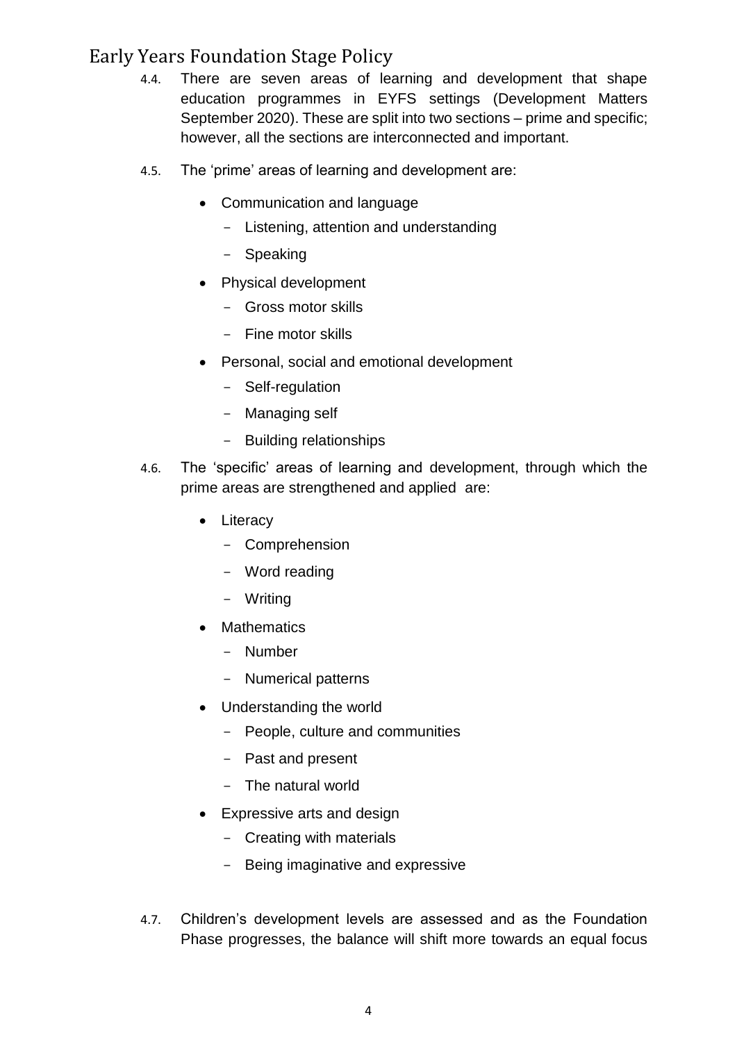- 4.4. There are seven areas of learning and development that shape education programmes in EYFS settings (Development Matters September 2020). These are split into two sections – prime and specific; however, all the sections are interconnected and important.
- 4.5. The 'prime' areas of learning and development are:
	- Communication and language
		- Listening, attention and understanding
		- Speaking
	- Physical development
		- Gross motor skills
		- Fine motor skills
	- Personal, social and emotional development
		- Self-regulation
		- Managing self
		- Building relationships
- 4.6. The 'specific' areas of learning and development, through which the prime areas are strengthened and applied are:
	- Literacy
		- Comprehension
		- Word reading
		- Writing
	- Mathematics
		- Number
		- Numerical patterns
	- Understanding the world
		- People, culture and communities
		- Past and present
		- The natural world
	- Expressive arts and design
		- Creating with materials
		- Being imaginative and expressive
- 4.7. Children's development levels are assessed and as the Foundation Phase progresses, the balance will shift more towards an equal focus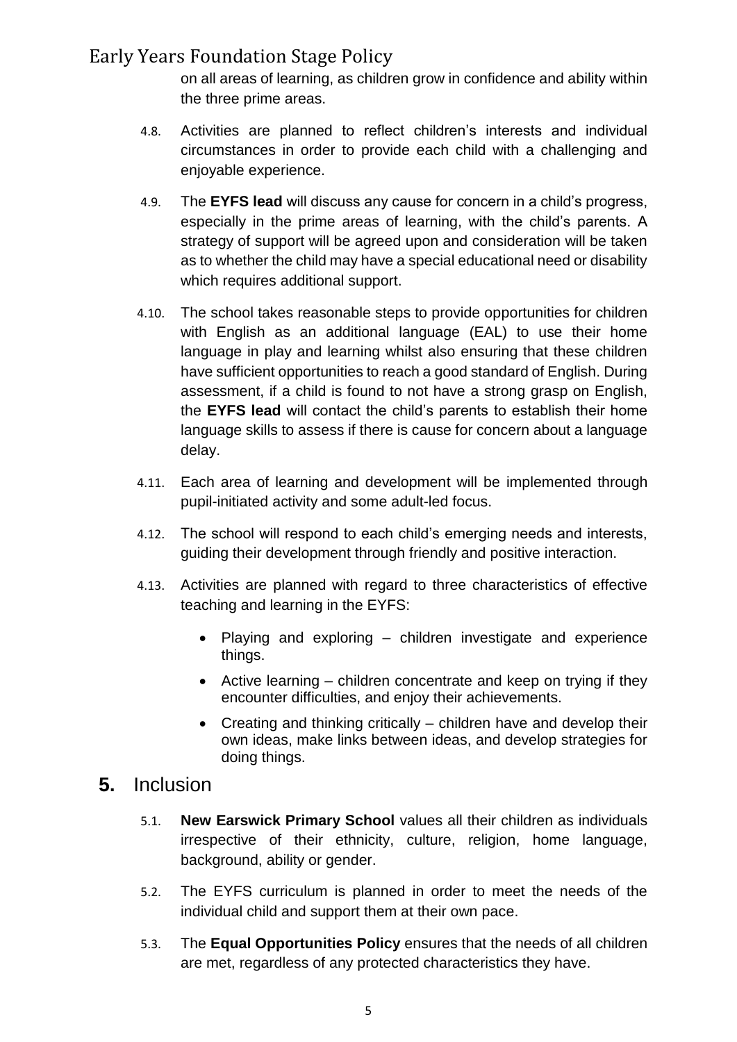on all areas of learning, as children grow in confidence and ability within the three prime areas.

- 4.8. Activities are planned to reflect children's interests and individual circumstances in order to provide each child with a challenging and enjoyable experience.
- 4.9. The **EYFS lead** will discuss any cause for concern in a child's progress, especially in the prime areas of learning, with the child's parents. A strategy of support will be agreed upon and consideration will be taken as to whether the child may have a special educational need or disability which requires additional support.
- 4.10. The school takes reasonable steps to provide opportunities for children with English as an additional language (EAL) to use their home language in play and learning whilst also ensuring that these children have sufficient opportunities to reach a good standard of English. During assessment, if a child is found to not have a strong grasp on English, the **EYFS lead** will contact the child's parents to establish their home language skills to assess if there is cause for concern about a language delay.
- 4.11. Each area of learning and development will be implemented through pupil-initiated activity and some adult-led focus.
- 4.12. The school will respond to each child's emerging needs and interests, guiding their development through friendly and positive interaction.
- 4.13. Activities are planned with regard to three characteristics of effective teaching and learning in the EYFS:
	- Playing and exploring children investigate and experience things.
	- Active learning children concentrate and keep on trying if they encounter difficulties, and enjoy their achievements.
	- Creating and thinking critically children have and develop their own ideas, make links between ideas, and develop strategies for doing things.

#### **5.** Inclusion

- 5.1. **New Earswick Primary School** values all their children as individuals irrespective of their ethnicity, culture, religion, home language, background, ability or gender.
- 5.2. The EYFS curriculum is planned in order to meet the needs of the individual child and support them at their own pace.
- 5.3. The **Equal Opportunities Policy** ensures that the needs of all children are met, regardless of any protected characteristics they have.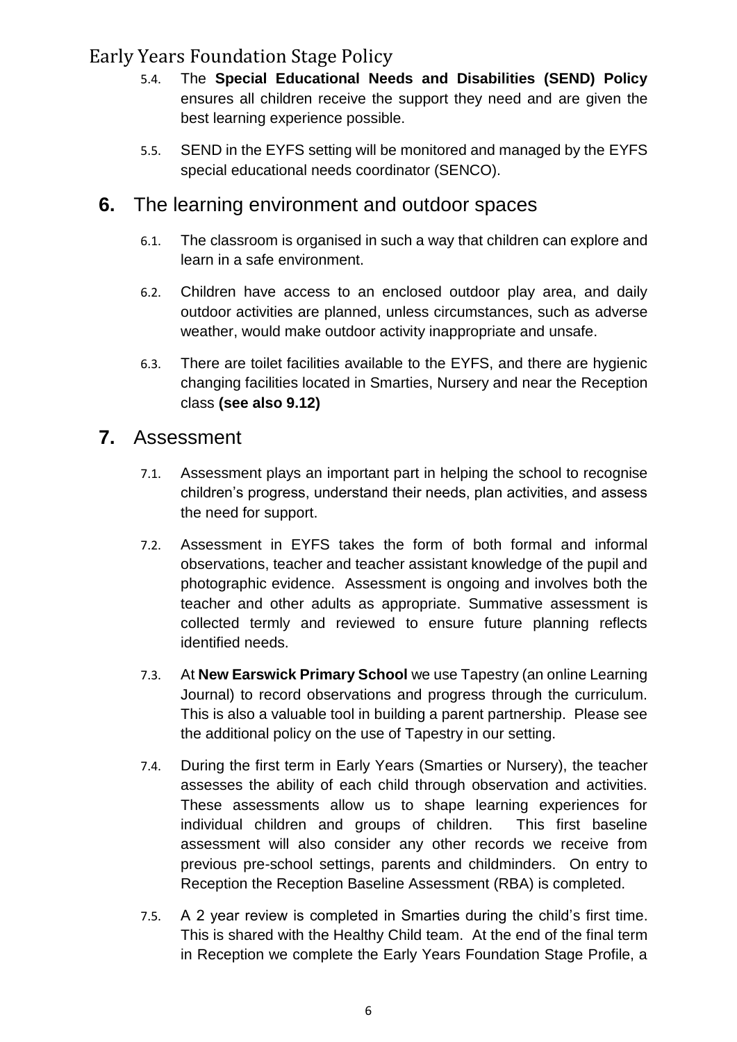- 5.4. The **Special Educational Needs and Disabilities (SEND) Policy**  ensures all children receive the support they need and are given the best learning experience possible.
- 5.5. SEND in the EYFS setting will be monitored and managed by the EYFS special educational needs coordinator (SENCO).

#### <span id="page-6-0"></span>**6.** The learning environment and outdoor spaces

- 6.1. The classroom is organised in such a way that children can explore and learn in a safe environment.
- 6.2. Children have access to an enclosed outdoor play area, and daily outdoor activities are planned, unless circumstances, such as adverse weather, would make outdoor activity inappropriate and unsafe.
- 6.3. There are toilet facilities available to the EYFS, and there are hygienic changing facilities located in Smarties, Nursery and near the Reception class **(see also 9.12)**

#### <span id="page-6-1"></span>**7.** Assessment

- 7.1. Assessment plays an important part in helping the school to recognise children's progress, understand their needs, plan activities, and assess the need for support.
- 7.2. Assessment in EYFS takes the form of both formal and informal observations, teacher and teacher assistant knowledge of the pupil and photographic evidence. Assessment is ongoing and involves both the teacher and other adults as appropriate. Summative assessment is collected termly and reviewed to ensure future planning reflects identified needs.
- 7.3. At **New Earswick Primary School** we use Tapestry (an online Learning Journal) to record observations and progress through the curriculum. This is also a valuable tool in building a parent partnership. Please see the additional policy on the use of Tapestry in our setting.
- 7.4. During the first term in Early Years (Smarties or Nursery), the teacher assesses the ability of each child through observation and activities. These assessments allow us to shape learning experiences for individual children and groups of children. This first baseline assessment will also consider any other records we receive from previous pre-school settings, parents and childminders. On entry to Reception the Reception Baseline Assessment (RBA) is completed.
- 7.5. A 2 year review is completed in Smarties during the child's first time. This is shared with the Healthy Child team. At the end of the final term in Reception we complete the Early Years Foundation Stage Profile, a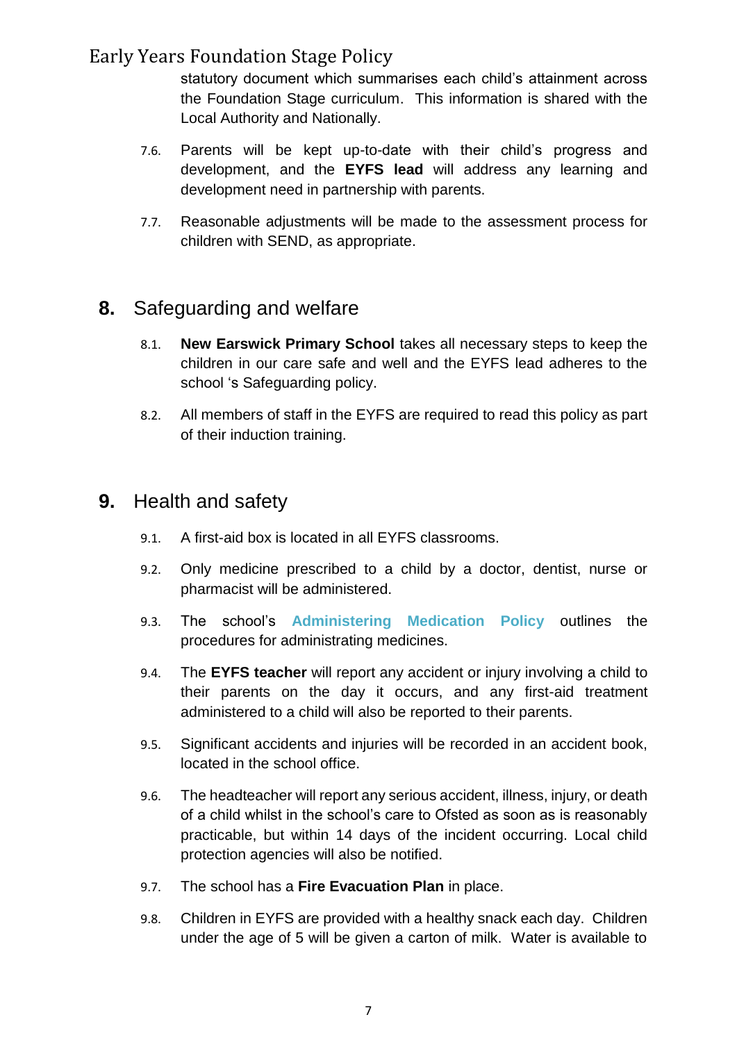statutory document which summarises each child's attainment across the Foundation Stage curriculum. This information is shared with the Local Authority and Nationally.

- 7.6. Parents will be kept up-to-date with their child's progress and development, and the **EYFS lead** will address any learning and development need in partnership with parents.
- 7.7. Reasonable adjustments will be made to the assessment process for children with SEND, as appropriate.

#### <span id="page-7-0"></span>**8.** Safeguarding and welfare

- 8.1. **New Earswick Primary School** takes all necessary steps to keep the children in our care safe and well and the EYFS lead adheres to the school 's Safeguarding policy.
- 8.2. All members of staff in the EYFS are required to read this policy as part of their induction training.

#### <span id="page-7-1"></span>**9.** Health and safety

- 9.1. A first-aid box is located in all EYFS classrooms.
- 9.2. Only medicine prescribed to a child by a doctor, dentist, nurse or pharmacist will be administered.
- 9.3. The school's **Administering Medication Policy** outlines the procedures for administrating medicines.
- 9.4. The **EYFS teacher** will report any accident or injury involving a child to their parents on the day it occurs, and any first-aid treatment administered to a child will also be reported to their parents.
- 9.5. Significant accidents and injuries will be recorded in an accident book, located in the school office.
- 9.6. The headteacher will report any serious accident, illness, injury, or death of a child whilst in the school's care to Ofsted as soon as is reasonably practicable, but within 14 days of the incident occurring. Local child protection agencies will also be notified.
- 9.7. The school has a **Fire Evacuation Plan** in place.
- 9.8. Children in EYFS are provided with a healthy snack each day. Children under the age of 5 will be given a carton of milk. Water is available to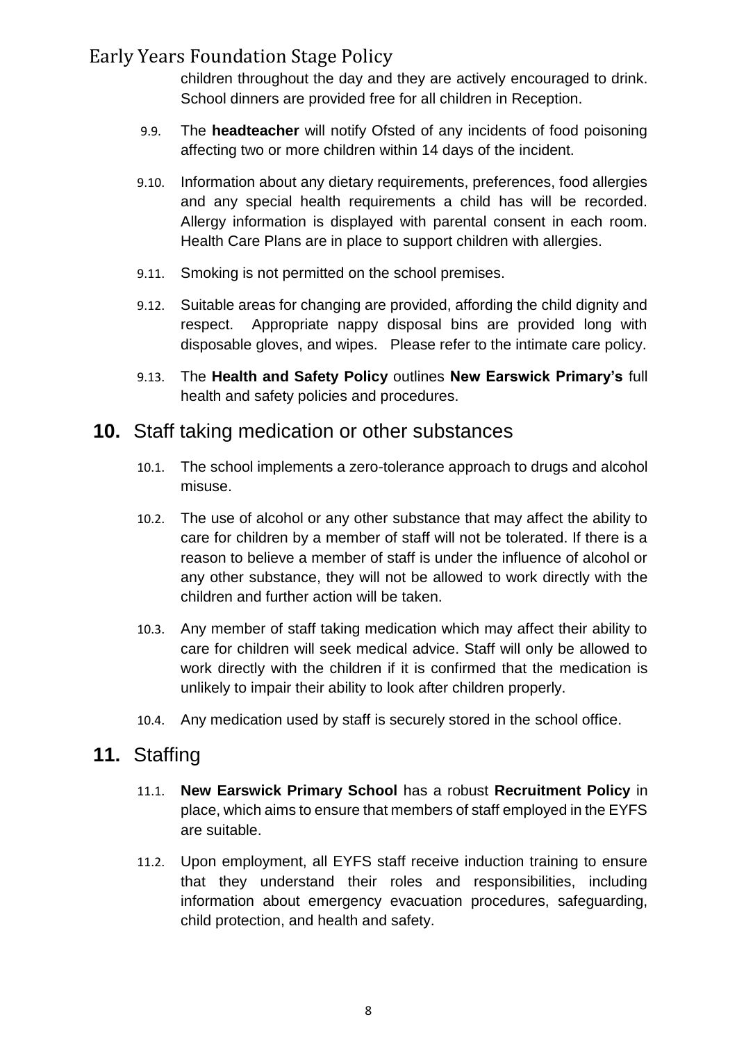children throughout the day and they are actively encouraged to drink. School dinners are provided free for all children in Reception.

- 9.9. The **headteacher** will notify Ofsted of any incidents of food poisoning affecting two or more children within 14 days of the incident.
- 9.10. Information about any dietary requirements, preferences, food allergies and any special health requirements a child has will be recorded. Allergy information is displayed with parental consent in each room. Health Care Plans are in place to support children with allergies.
- 9.11. Smoking is not permitted on the school premises.
- 9.12. Suitable areas for changing are provided, affording the child dignity and respect. Appropriate nappy disposal bins are provided long with disposable gloves, and wipes. Please refer to the intimate care policy.
- 9.13. The **Health and Safety Policy** outlines **New Earswick Primary's** full health and safety policies and procedures.

#### <span id="page-8-0"></span>**10.** Staff taking medication or other substances

- 10.1. The school implements a zero-tolerance approach to drugs and alcohol misuse.
- 10.2. The use of alcohol or any other substance that may affect the ability to care for children by a member of staff will not be tolerated. If there is a reason to believe a member of staff is under the influence of alcohol or any other substance, they will not be allowed to work directly with the children and further action will be taken.
- 10.3. Any member of staff taking medication which may affect their ability to care for children will seek medical advice. Staff will only be allowed to work directly with the children if it is confirmed that the medication is unlikely to impair their ability to look after children properly.
- 10.4. Any medication used by staff is securely stored in the school office.

#### <span id="page-8-1"></span>**11.** Staffing

- 11.1. **New Earswick Primary School** has a robust **Recruitment Policy** in place, which aims to ensure that members of staff employed in the EYFS are suitable.
- 11.2. Upon employment, all EYFS staff receive induction training to ensure that they understand their roles and responsibilities, including information about emergency evacuation procedures, safeguarding, child protection, and health and safety.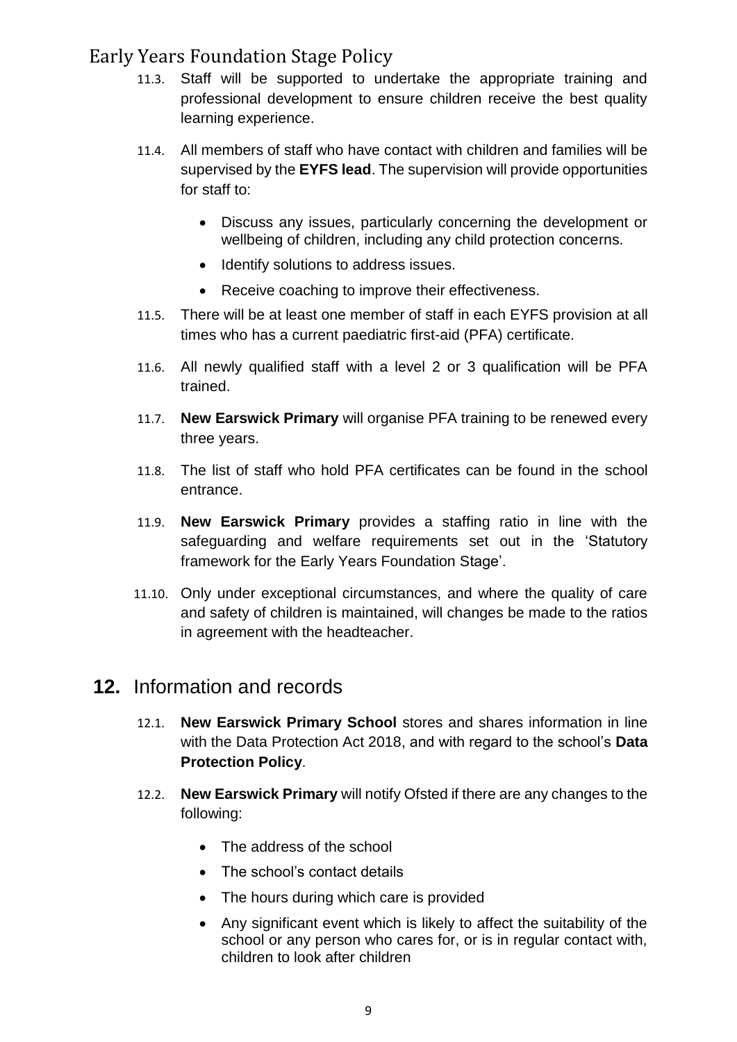- 11.3. Staff will be supported to undertake the appropriate training and professional development to ensure children receive the best quality learning experience.
- 11.4. All members of staff who have contact with children and families will be supervised by the **EYFS lead**. The supervision will provide opportunities for staff to:
	- Discuss any issues, particularly concerning the development or wellbeing of children, including any child protection concerns.
	- Identify solutions to address issues.
	- Receive coaching to improve their effectiveness.
- 11.5. There will be at least one member of staff in each EYFS provision at all times who has a current paediatric first-aid (PFA) certificate.
- 11.6. All newly qualified staff with a level 2 or 3 qualification will be PFA trained.
- 11.7. **New Earswick Primary** will organise PFA training to be renewed every three years.
- 11.8. The list of staff who hold PFA certificates can be found in the school entrance.
- 11.9. **New Earswick Primary** provides a staffing ratio in line with the safeguarding and welfare requirements set out in the 'Statutory framework for the Early Years Foundation Stage'.
- 11.10. Only under exceptional circumstances, and where the quality of care and safety of children is maintained, will changes be made to the ratios in agreement with the headteacher.

#### <span id="page-9-0"></span>**12.** Information and records

- 12.1. **New Earswick Primary School** stores and shares information in line with the Data Protection Act 2018, and with regard to the school's **Data Protection Policy**.
- 12.2. **New Earswick Primary** will notify Ofsted if there are any changes to the following:
	- The address of the school
	- The school's contact details
	- The hours during which care is provided
	- Any significant event which is likely to affect the suitability of the school or any person who cares for, or is in regular contact with, children to look after children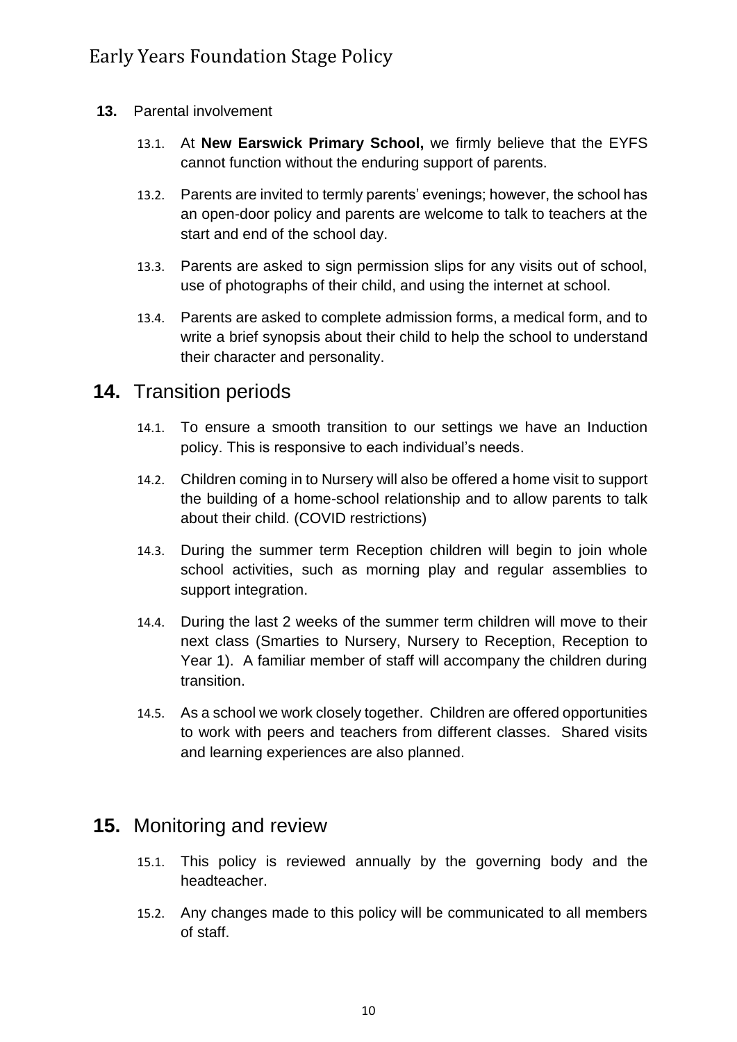- <span id="page-10-0"></span>**13.** Parental involvement
	- 13.1. At **New Earswick Primary School,** we firmly believe that the EYFS cannot function without the enduring support of parents.
	- 13.2. Parents are invited to termly parents' evenings; however, the school has an open-door policy and parents are welcome to talk to teachers at the start and end of the school day.
	- 13.3. Parents are asked to sign permission slips for any visits out of school, use of photographs of their child, and using the internet at school.
	- 13.4. Parents are asked to complete admission forms, a medical form, and to write a brief synopsis about their child to help the school to understand their character and personality.

#### <span id="page-10-1"></span>**14.** Transition periods

- 14.1. To ensure a smooth transition to our settings we have an Induction policy. This is responsive to each individual's needs.
- 14.2. Children coming in to Nursery will also be offered a home visit to support the building of a home-school relationship and to allow parents to talk about their child. (COVID restrictions)
- 14.3. During the summer term Reception children will begin to join whole school activities, such as morning play and regular assemblies to support integration.
- 14.4. During the last 2 weeks of the summer term children will move to their next class (Smarties to Nursery, Nursery to Reception, Reception to Year 1). A familiar member of staff will accompany the children during transition.
- 14.5. As a school we work closely together. Children are offered opportunities to work with peers and teachers from different classes. Shared visits and learning experiences are also planned.

#### <span id="page-10-2"></span>**15.** Monitoring and review

- 15.1. This policy is reviewed annually by the governing body and the headteacher.
- 15.2. Any changes made to this policy will be communicated to all members of staff.